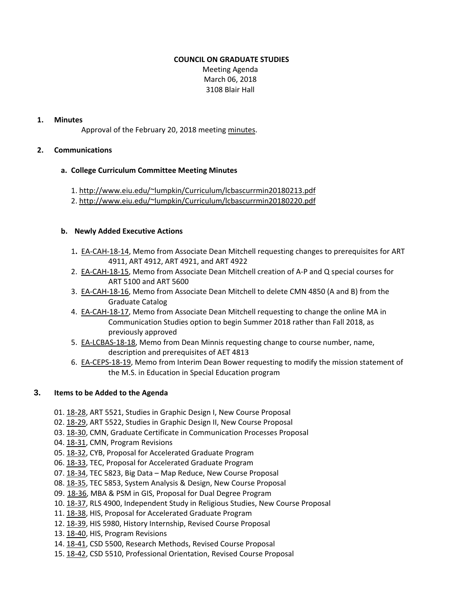### **COUNCIL ON GRADUATE STUDIES**

Meeting Agenda March 06, 2018 3108 Blair Hall

### **1. Minutes**

Approval of the February 20, 2018 meeting [minutes.](http://castle.eiu.edu/eiucgs/currentminutes/Minutes2-20-18.pdf)

#### **2. Communications**

#### **a. College Curriculum Committee Meeting Minutes**

- 1. <http://www.eiu.edu/~lumpkin/Curriculum/lcbascurrmin20180213.pdf>
- 2. <http://www.eiu.edu/~lumpkin/Curriculum/lcbascurrmin20180220.pdf>

#### **b. Newly Added Executive Actions**

- 1**.** EA‐[CAH](http://castle.eiu.edu/~eiucgs/exec-actions/EA-CAH-18-14.pdf)‐18‐14, Memo from Associate Dean Mitchell requesting changes to prerequisites for ART 4911, ART 4912, ART 4921, and ART 4922
- 2. EA‐[CAH](http://castle.eiu.edu/~eiucgs/exec-actions/EA-CAH-18-15.pdf)‐18‐15, Memo from Associate Dean Mitchell creation of A‐P and Q special courses for ART 5100 and ART 5600
- 3. EA‐[CAH](http://castle.eiu.edu/~eiucgs/exec-actions/EA-CAH-18-16.pdf)‐18‐16, Memo from Associate Dean Mitchell to delete CMN 4850 (A and B) from the Graduate Catalog
- 4. EA‐[CAH](http://castle.eiu.edu/~eiucgs/exec-actions/EA-CAH-18-17.pdf)‐18‐17, Memo from Associate Dean Mitchell requesting to change the online MA in Communication Studies option to begin Summer 2018 rather than Fall 2018, as previously approved
- 5. EA‐[LCBAS](http://castle.eiu.edu/~eiucgs/exec-actions/EA-LCBAS-18-18.pdf)‐18‐18, Memo from Dean Minnis requesting change to course number, name, description and prerequisites of AET 4813
- 6. EA-[CEPS](http://castle.eiu.edu/~eiucgs/exec-actions/EA-CEPS-18-19.pdf)-18-19, Memo from Interim Dean Bower requesting to modify the mission statement of the M.S. in Education in Special Education program

# **3. Items to be Added to the Agenda**

- 01. [18](http://castle.eiu.edu/eiucgs/currentagendaitems/agenda18-28.pdf)‐28, ART 5521, Studies in Graphic Design I, New Course Proposal
- 02. 18‐[29,](http://castle.eiu.edu/eiucgs/currentagendaitems/agenda18-29.pdf) ART 5522, Studies in Graphic Design II, New Course Proposal
- 03. [18](http://castle.eiu.edu/eiucgs/currentagendaitems/agenda18-30.pdf)‐30, CMN, Graduate Certificate in Communication Processes Proposal
- 04. [18](http://castle.eiu.edu/eiucgs/currentagendaitems/agenda18-31.pdf)‐31, CMN, Program Revisions
- 05. 18‐[32](http://castle.eiu.edu/eiucgs/currentagendaitems/agenda18-32.pdf), CYB, Proposal for Accelerated Graduate Program
- 06. [18](http://castle.eiu.edu/eiucgs/currentagendaitems/agenda18-33.pdf)-33, TEC, Proposal for Accelerated Graduate Program
- 07. 18‐[34,](http://castle.eiu.edu/eiucgs/currentagendaitems/agenda18-34.pdf) TEC 5823, Big Data Map Reduce, New Course Proposal
- 08. [18](http://castle.eiu.edu/eiucgs/currentagendaitems/agenda18-35.pdf)-35, TEC 5853, System Analysis & Design, New Course Proposal
- 09. 18‐[36,](http://castle.eiu.edu/eiucgs/currentagendaitems/agenda18-36.pdf) MBA & PSM in GIS, Proposal for Dual Degree Program
- 10. 18‐[37,](http://castle.eiu.edu/eiucgs/currentagendaitems/agenda18-37.pdf) RLS 4900, Independent Study in Religious Studies, New Course Proposal
- 11. 18‐[38,](http://castle.eiu.edu/eiucgs/currentagendaitems/agenda18-38.pdf) HIS, Proposal for Accelerated Graduate Program
- 12. 18‐[39,](http://castle.eiu.edu/eiucgs/currentagendaitems/agenda18-39.pdf) HIS 5980, History Internship, Revised Course Proposal
- 13. 18‐[40,](http://castle.eiu.edu/eiucgs/currentagendaitems/agenda18-40.pdf) HIS, Program Revisions
- 14. [18](http://castle.eiu.edu/eiucgs/currentagendaitems/agenda18-41.pdf)‐41, CSD 5500, Research Methods, Revised Course Proposal
- 15. [18](http://castle.eiu.edu/eiucgs/currentagendaitems/agenda18-42.pdf)-42, CSD 5510, Professional Orientation, Revised Course Proposal